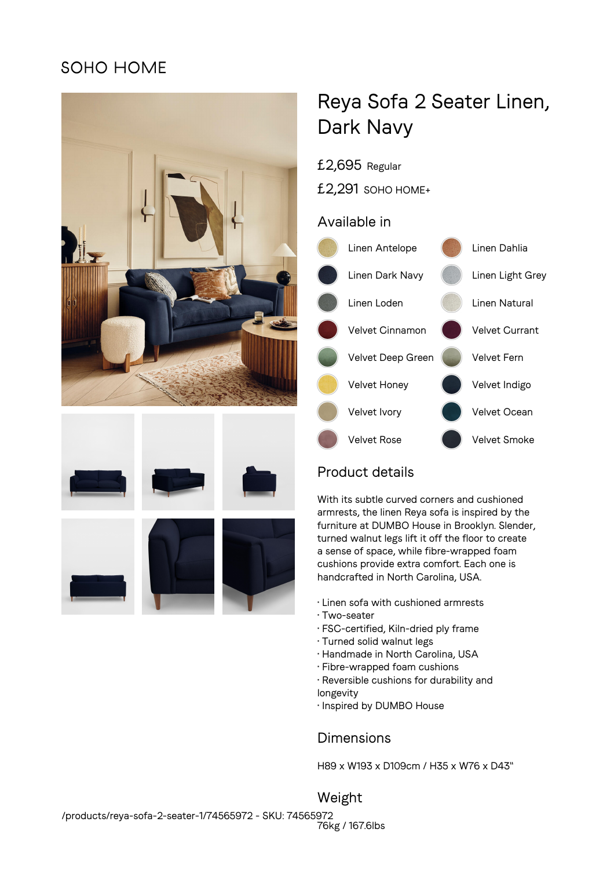## **SOHO HOME**







# Reya Sofa 2 Seater Linen, Dark Navy

- £2,695 Regular
- £2,291 SOHO HOME+

#### Available in



## Product details

With its subtle curved corners and cushioned armrests, the linen Reya sofa is inspired by the furniture at DUMBO House in Brooklyn. Slender, turned walnut legs lift it off the floor to create a sense of space, while fibre-wrapped foam cushions provide extra comfort. Each one is handcrafted in North Carolina, USA.

- Linen sofa with cushioned armrests
- Two-seater
- FSC-certified, Kiln-dried ply frame
- Turned solid walnut legs
- Handmade in North Carolina, USA
- Fibre-wrapped foam cushions
- Reversible cushions for durability and longevity
- Inspired by DUMBO House

### Dimensions

H89 x W193 x D109cm / H35 x W76 x D43"

Weight 76kg / 167.6lbs /products/reya-sofa-2-seater-1/74565972 - SKU: 74565972